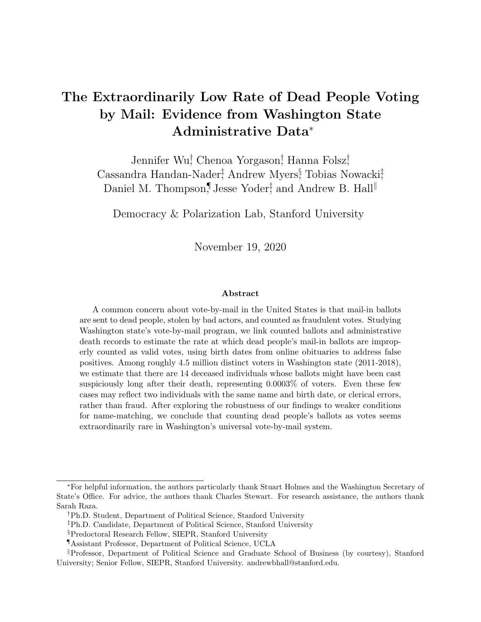### The Extraordinarily Low Rate of Dead People Voting by Mail: Evidence from Washington State Administrative Data<sup>∗</sup>

Jennifer Wu<sup>†</sup> Chenoa Yorgason<sup>†</sup> Hanna Folsz<sup>†</sup> Cassandra Handan-Nader<sup>†</sup>, Andrew Myers<sup>§</sup>, Tobias Nowacki<sup>†</sup> Daniel M. Thompson,<sup>¶</sup> Jesse Yoder<sup>‡</sup>, and Andrew B. Hall<sup>||</sup>

Democracy & Polarization Lab, Stanford University

November 19, 2020

#### Abstract

A common concern about vote-by-mail in the United States is that mail-in ballots are sent to dead people, stolen by bad actors, and counted as fraudulent votes. Studying Washington state's vote-by-mail program, we link counted ballots and administrative death records to estimate the rate at which dead people's mail-in ballots are improperly counted as valid votes, using birth dates from online obituaries to address false positives. Among roughly 4.5 million distinct voters in Washington state (2011-2018), we estimate that there are 14 deceased individuals whose ballots might have been cast suspiciously long after their death, representing 0.0003% of voters. Even these few cases may reflect two individuals with the same name and birth date, or clerical errors, rather than fraud. After exploring the robustness of our findings to weaker conditions for name-matching, we conclude that counting dead people's ballots as votes seems extraordinarily rare in Washington's universal vote-by-mail system.

<sup>∗</sup>For helpful information, the authors particularly thank Stuart Holmes and the Washington Secretary of State's Office. For advice, the authors thank Charles Stewart. For research assistance, the authors thank Sarah Raza.

<sup>†</sup>Ph.D. Student, Department of Political Science, Stanford University

<sup>‡</sup>Ph.D. Candidate, Department of Political Science, Stanford University

<sup>§</sup>Predoctoral Research Fellow, SIEPR, Stanford University

<sup>¶</sup>Assistant Professor, Department of Political Science, UCLA

<sup>k</sup>Professor, Department of Political Science and Graduate School of Business (by courtesy), Stanford University; Senior Fellow, SIEPR, Stanford University. andrewbhall@stanford.edu.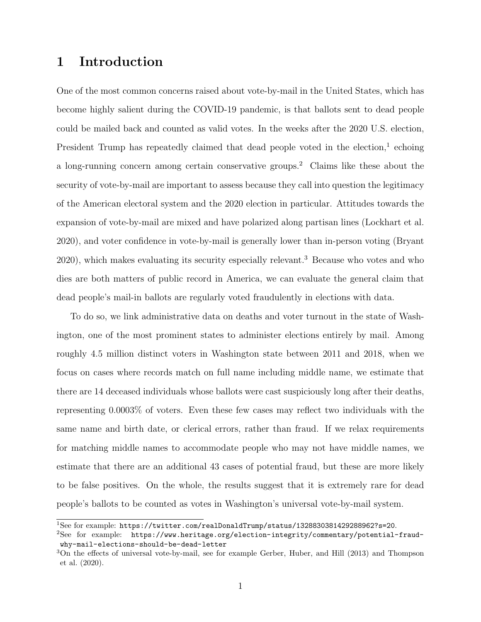### <span id="page-1-3"></span>1 Introduction

One of the most common concerns raised about vote-by-mail in the United States, which has become highly salient during the COVID-19 pandemic, is that ballots sent to dead people could be mailed back and counted as valid votes. In the weeks after the 2020 U.S. election, President Trump has repeatedly claimed that dead people voted in the election,<sup>[1](#page-1-0)</sup> echoing a long-running concern among certain conservative groups.[2](#page-1-1) Claims like these about the security of vote-by-mail are important to assess because they call into question the legitimacy of the American electoral system and the 2020 election in particular. Attitudes towards the expansion of vote-by-mail are mixed and have polarized along partisan lines [\(Lockhart et al.](#page-12-0) [2020\)](#page-12-0), and voter confidence in vote-by-mail is generally lower than in-person voting [\(Bryant](#page-12-1) [2020\)](#page-12-1), which makes evaluating its security especially relevant.[3](#page-1-2) Because who votes and who dies are both matters of public record in America, we can evaluate the general claim that dead people's mail-in ballots are regularly voted fraudulently in elections with data.

To do so, we link administrative data on deaths and voter turnout in the state of Washington, one of the most prominent states to administer elections entirely by mail. Among roughly 4.5 million distinct voters in Washington state between 2011 and 2018, when we focus on cases where records match on full name including middle name, we estimate that there are 14 deceased individuals whose ballots were cast suspiciously long after their deaths, representing 0.0003% of voters. Even these few cases may reflect two individuals with the same name and birth date, or clerical errors, rather than fraud. If we relax requirements for matching middle names to accommodate people who may not have middle names, we estimate that there are an additional 43 cases of potential fraud, but these are more likely to be false positives. On the whole, the results suggest that it is extremely rare for dead people's ballots to be counted as votes in Washington's universal vote-by-mail system.

<span id="page-1-0"></span><sup>1</sup>See for example: <https://twitter.com/realDonaldTrump/status/1328830381429288962?s=20>.

<span id="page-1-1"></span><sup>&</sup>lt;sup>2</sup>See for example: [https://www.heritage.org/election-integrity/commentary/potential-fraud](https://www.heritage.org/election-integrity/commentary/potential-fraud-why-mail-elections-should-be-dead-letter)[why-mail-elections-should-be-dead-letter](https://www.heritage.org/election-integrity/commentary/potential-fraud-why-mail-elections-should-be-dead-letter)

<span id="page-1-2"></span><sup>3</sup>On the effects of universal vote-by-mail, see for example [Gerber, Huber, and Hill](#page-12-2) [\(2013\)](#page-12-2) and [Thompson](#page-13-0) [et al.](#page-13-0) [\(2020\)](#page-13-0).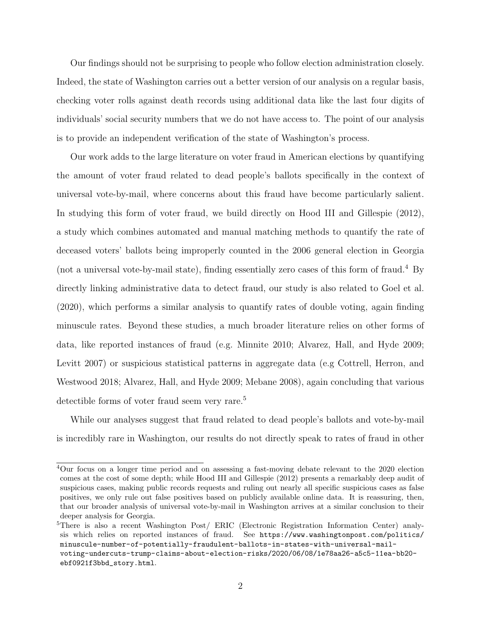Our findings should not be surprising to people who follow election administration closely. Indeed, the state of Washington carries out a better version of our analysis on a regular basis, checking voter rolls against death records using additional data like the last four digits of individuals' social security numbers that we do not have access to. The point of our analysis is to provide an independent verification of the state of Washington's process.

Our work adds to the large literature on voter fraud in American elections by quantifying the amount of voter fraud related to dead people's ballots specifically in the context of universal vote-by-mail, where concerns about this fraud have become particularly salient. In studying this form of voter fraud, we build directly on [Hood III and Gillespie](#page-12-3) [\(2012\)](#page-12-3), a study which combines automated and manual matching methods to quantify the rate of deceased voters' ballots being improperly counted in the 2006 general election in Georgia (not a universal vote-by-mail state), finding essentially zero cases of this form of fraud.[4](#page-2-0) By directly linking administrative data to detect fraud, our study is also related to [Goel et al.](#page-12-4) [\(2020\)](#page-12-4), which performs a similar analysis to quantify rates of double voting, again finding minuscule rates. Beyond these studies, a much broader literature relies on other forms of data, like reported instances of fraud (e.g. [Minnite](#page-12-5) [2010;](#page-12-5) [Alvarez, Hall, and Hyde](#page-12-6) [2009;](#page-12-6) [Levitt](#page-12-7) [2007\)](#page-12-7) or suspicious statistical patterns in aggregate data (e.g [Cottrell, Herron, and](#page-12-8) [Westwood](#page-12-8) [2018;](#page-12-8) [Alvarez, Hall, and Hyde](#page-12-6) [2009;](#page-12-6) [Mebane](#page-12-9) [2008\)](#page-12-9), again concluding that various detectible forms of voter fraud seem very rare.<sup>[5](#page-2-1)</sup>

While our analyses suggest that fraud related to dead people's ballots and vote-by-mail is incredibly rare in Washington, our results do not directly speak to rates of fraud in other

<span id="page-2-0"></span><sup>4</sup>Our focus on a longer time period and on assessing a fast-moving debate relevant to the 2020 election comes at the cost of some depth; while [Hood III and Gillespie](#page-12-3) [\(2012\)](#page-12-3) presents a remarkably deep audit of suspicious cases, making public records requests and ruling out nearly all specific suspicious cases as false positives, we only rule out false positives based on publicly available online data. It is reassuring, then, that our broader analysis of universal vote-by-mail in Washington arrives at a similar conclusion to their deeper analysis for Georgia.

<span id="page-2-1"></span><sup>&</sup>lt;sup>5</sup>There is also a recent Washington Post/ ERIC (Electronic Registration Information Center) analysis which relies on reported instances of fraud. See [https://www.washingtonpost.com/politics/](https://www.washingtonpost.com/politics/minuscule-number-of-potentially-fraudulent-ballots-in-states-with-universal-mail-voting-undercuts-trump-claims-about-election-risks/2020/06/08/1e78aa26-a5c5-11ea-bb20-ebf0921f3bbd_story.html) [minuscule-number-of-potentially-fraudulent-ballots-in-states-with-universal-mail](https://www.washingtonpost.com/politics/minuscule-number-of-potentially-fraudulent-ballots-in-states-with-universal-mail-voting-undercuts-trump-claims-about-election-risks/2020/06/08/1e78aa26-a5c5-11ea-bb20-ebf0921f3bbd_story.html)[voting-undercuts-trump-claims-about-election-risks/2020/06/08/1e78aa26-a5c5-11ea-bb20](https://www.washingtonpost.com/politics/minuscule-number-of-potentially-fraudulent-ballots-in-states-with-universal-mail-voting-undercuts-trump-claims-about-election-risks/2020/06/08/1e78aa26-a5c5-11ea-bb20-ebf0921f3bbd_story.html) [ebf0921f3bbd\\_story.html](https://www.washingtonpost.com/politics/minuscule-number-of-potentially-fraudulent-ballots-in-states-with-universal-mail-voting-undercuts-trump-claims-about-election-risks/2020/06/08/1e78aa26-a5c5-11ea-bb20-ebf0921f3bbd_story.html).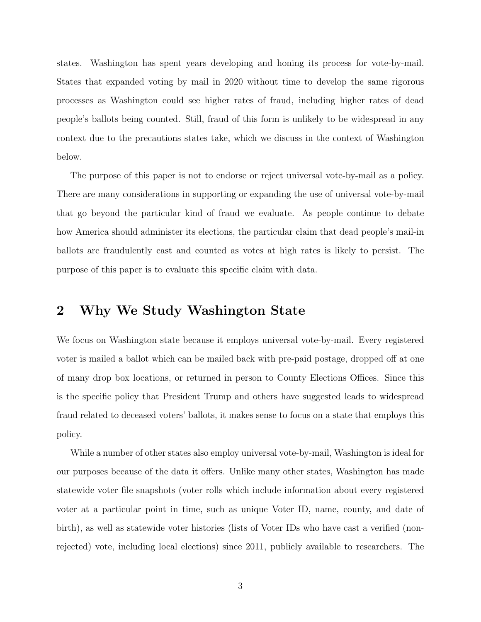states. Washington has spent years developing and honing its process for vote-by-mail. States that expanded voting by mail in 2020 without time to develop the same rigorous processes as Washington could see higher rates of fraud, including higher rates of dead people's ballots being counted. Still, fraud of this form is unlikely to be widespread in any context due to the precautions states take, which we discuss in the context of Washington below.

The purpose of this paper is not to endorse or reject universal vote-by-mail as a policy. There are many considerations in supporting or expanding the use of universal vote-by-mail that go beyond the particular kind of fraud we evaluate. As people continue to debate how America should administer its elections, the particular claim that dead people's mail-in ballots are fraudulently cast and counted as votes at high rates is likely to persist. The purpose of this paper is to evaluate this specific claim with data.

#### 2 Why We Study Washington State

We focus on Washington state because it employs universal vote-by-mail. Every registered voter is mailed a ballot which can be mailed back with pre-paid postage, dropped off at one of many drop box locations, or returned in person to County Elections Offices. Since this is the specific policy that President Trump and others have suggested leads to widespread fraud related to deceased voters' ballots, it makes sense to focus on a state that employs this policy.

While a number of other states also employ universal vote-by-mail, Washington is ideal for our purposes because of the data it offers. Unlike many other states, Washington has made statewide voter file snapshots (voter rolls which include information about every registered voter at a particular point in time, such as unique Voter ID, name, county, and date of birth), as well as statewide voter histories (lists of Voter IDs who have cast a verified (nonrejected) vote, including local elections) since 2011, publicly available to researchers. The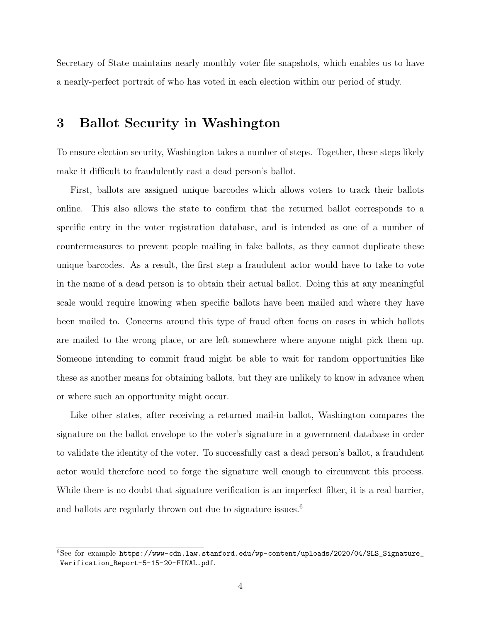Secretary of State maintains nearly monthly voter file snapshots, which enables us to have a nearly-perfect portrait of who has voted in each election within our period of study.

#### 3 Ballot Security in Washington

To ensure election security, Washington takes a number of steps. Together, these steps likely make it difficult to fraudulently cast a dead person's ballot.

First, ballots are assigned unique barcodes which allows voters to track their ballots online. This also allows the state to confirm that the returned ballot corresponds to a specific entry in the voter registration database, and is intended as one of a number of countermeasures to prevent people mailing in fake ballots, as they cannot duplicate these unique barcodes. As a result, the first step a fraudulent actor would have to take to vote in the name of a dead person is to obtain their actual ballot. Doing this at any meaningful scale would require knowing when specific ballots have been mailed and where they have been mailed to. Concerns around this type of fraud often focus on cases in which ballots are mailed to the wrong place, or are left somewhere where anyone might pick them up. Someone intending to commit fraud might be able to wait for random opportunities like these as another means for obtaining ballots, but they are unlikely to know in advance when or where such an opportunity might occur.

Like other states, after receiving a returned mail-in ballot, Washington compares the signature on the ballot envelope to the voter's signature in a government database in order to validate the identity of the voter. To successfully cast a dead person's ballot, a fraudulent actor would therefore need to forge the signature well enough to circumvent this process. While there is no doubt that signature verification is an imperfect filter, it is a real barrier, and ballots are regularly thrown out due to signature issues.<sup>[6](#page-4-0)</sup>

<span id="page-4-0"></span> $6$ See for example [https://www-cdn.law.stanford.edu/wp-content/uploads/2020/04/SLS\\_Signature\\_](https://www-cdn.law.stanford.edu/wp-content/uploads/2020/04/SLS_Signature_Verification_Report-5-15-20-FINAL.pdf) [Verification\\_Report-5-15-20-FINAL.pdf](https://www-cdn.law.stanford.edu/wp-content/uploads/2020/04/SLS_Signature_Verification_Report-5-15-20-FINAL.pdf).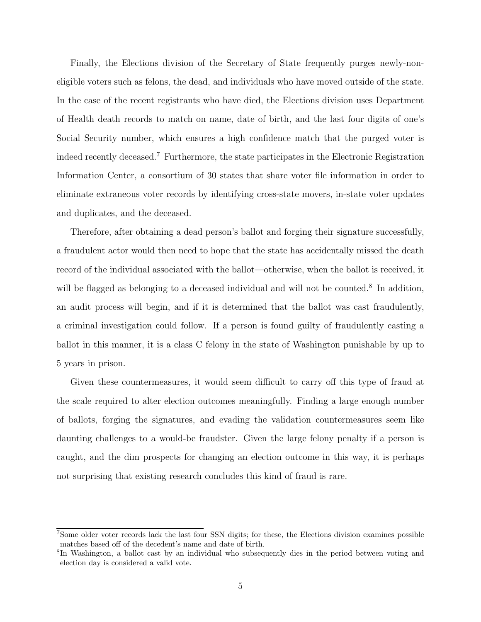Finally, the Elections division of the Secretary of State frequently purges newly-noneligible voters such as felons, the dead, and individuals who have moved outside of the state. In the case of the recent registrants who have died, the Elections division uses Department of Health death records to match on name, date of birth, and the last four digits of one's Social Security number, which ensures a high confidence match that the purged voter is indeed recently deceased.[7](#page-5-0) Furthermore, the state participates in the Electronic Registration Information Center, a consortium of 30 states that share voter file information in order to eliminate extraneous voter records by identifying cross-state movers, in-state voter updates and duplicates, and the deceased.

Therefore, after obtaining a dead person's ballot and forging their signature successfully, a fraudulent actor would then need to hope that the state has accidentally missed the death record of the individual associated with the ballot—otherwise, when the ballot is received, it will be flagged as belonging to a deceased individual and will not be counted.<sup>[8](#page-5-1)</sup> In addition, an audit process will begin, and if it is determined that the ballot was cast fraudulently, a criminal investigation could follow. If a person is found guilty of fraudulently casting a ballot in this manner, it is a class C felony in the state of Washington punishable by up to 5 years in prison.

Given these countermeasures, it would seem difficult to carry off this type of fraud at the scale required to alter election outcomes meaningfully. Finding a large enough number of ballots, forging the signatures, and evading the validation countermeasures seem like daunting challenges to a would-be fraudster. Given the large felony penalty if a person is caught, and the dim prospects for changing an election outcome in this way, it is perhaps not surprising that existing research concludes this kind of fraud is rare.

<span id="page-5-0"></span><sup>7</sup>Some older voter records lack the last four SSN digits; for these, the Elections division examines possible matches based off of the decedent's name and date of birth.

<span id="page-5-1"></span><sup>8</sup> In Washington, a ballot cast by an individual who subsequently dies in the period between voting and election day is considered a valid vote.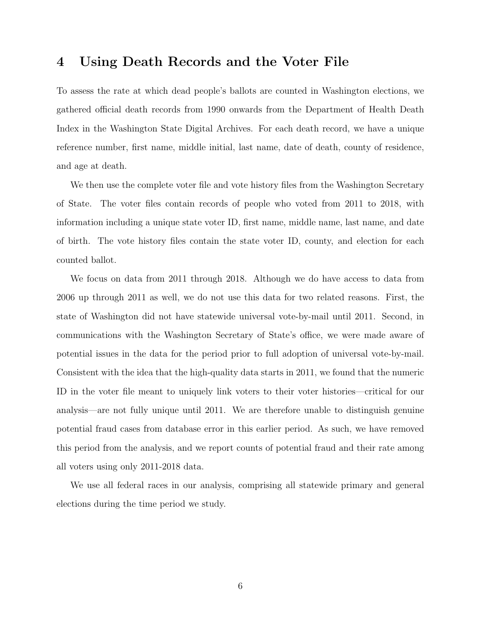#### 4 Using Death Records and the Voter File

To assess the rate at which dead people's ballots are counted in Washington elections, we gathered official death records from 1990 onwards from the Department of Health Death Index in the Washington State Digital Archives. For each death record, we have a unique reference number, first name, middle initial, last name, date of death, county of residence, and age at death.

We then use the complete voter file and vote history files from the Washington Secretary of State. The voter files contain records of people who voted from 2011 to 2018, with information including a unique state voter ID, first name, middle name, last name, and date of birth. The vote history files contain the state voter ID, county, and election for each counted ballot.

We focus on data from 2011 through 2018. Although we do have access to data from 2006 up through 2011 as well, we do not use this data for two related reasons. First, the state of Washington did not have statewide universal vote-by-mail until 2011. Second, in communications with the Washington Secretary of State's office, we were made aware of potential issues in the data for the period prior to full adoption of universal vote-by-mail. Consistent with the idea that the high-quality data starts in 2011, we found that the numeric ID in the voter file meant to uniquely link voters to their voter histories—critical for our analysis—are not fully unique until 2011. We are therefore unable to distinguish genuine potential fraud cases from database error in this earlier period. As such, we have removed this period from the analysis, and we report counts of potential fraud and their rate among all voters using only 2011-2018 data.

We use all federal races in our analysis, comprising all statewide primary and general elections during the time period we study.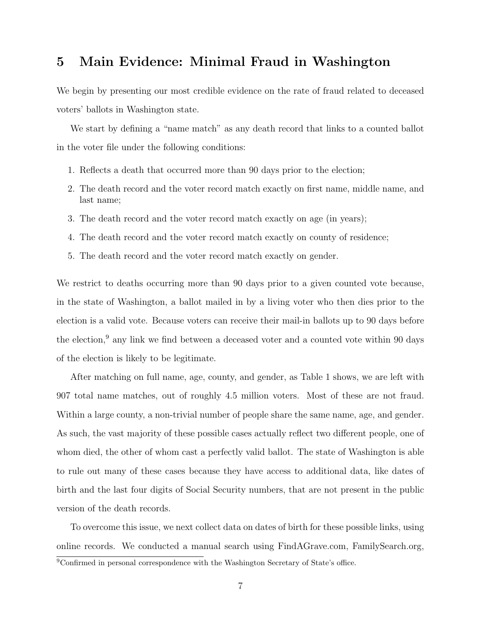### 5 Main Evidence: Minimal Fraud in Washington

We begin by presenting our most credible evidence on the rate of fraud related to deceased voters' ballots in Washington state.

We start by defining a "name match" as any death record that links to a counted ballot in the voter file under the following conditions:

- 1. Reflects a death that occurred more than 90 days prior to the election;
- 2. The death record and the voter record match exactly on first name, middle name, and last name;
- 3. The death record and the voter record match exactly on age (in years);
- 4. The death record and the voter record match exactly on county of residence;
- 5. The death record and the voter record match exactly on gender.

We restrict to deaths occurring more than 90 days prior to a given counted vote because, in the state of Washington, a ballot mailed in by a living voter who then dies prior to the election is a valid vote. Because voters can receive their mail-in ballots up to 90 days before the election,<sup>[9](#page-7-0)</sup> any link we find between a deceased voter and a counted vote within 90 days of the election is likely to be legitimate.

After matching on full name, age, county, and gender, as Table 1 shows, we are left with 907 total name matches, out of roughly 4.5 million voters. Most of these are not fraud. Within a large county, a non-trivial number of people share the same name, age, and gender. As such, the vast majority of these possible cases actually reflect two different people, one of whom died, the other of whom cast a perfectly valid ballot. The state of Washington is able to rule out many of these cases because they have access to additional data, like dates of birth and the last four digits of Social Security numbers, that are not present in the public version of the death records.

To overcome this issue, we next collect data on dates of birth for these possible links, using online records. We conducted a manual search using FindAGrave.com, FamilySearch.org,

<span id="page-7-0"></span><sup>9</sup>Confirmed in personal correspondence with the Washington Secretary of State's office.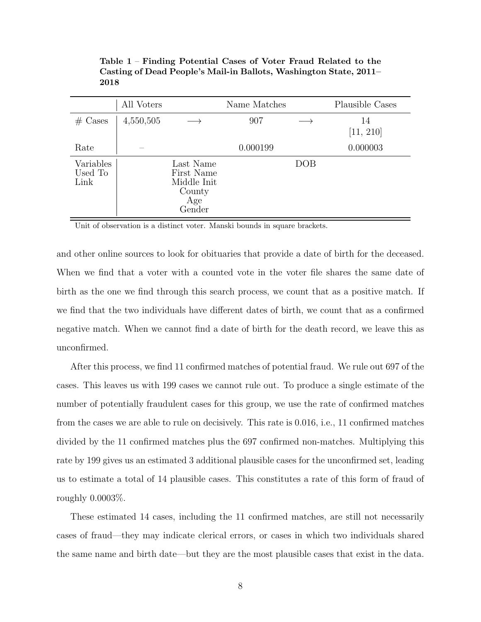| All Voters                   |           | Name Matches                                                      |          | Plausible Cases |                 |
|------------------------------|-----------|-------------------------------------------------------------------|----------|-----------------|-----------------|
| $# \text{ Cases}$            | 4,550,505 |                                                                   | 907      |                 | 14<br>[11, 210] |
| Rate                         |           |                                                                   | 0.000199 |                 | 0.000003        |
| Variables<br>Used To<br>Link |           | Last Name<br>First Name<br>Middle Init<br>County<br>Age<br>Gender |          | DOB             |                 |

Table 1 – Finding Potential Cases of Voter Fraud Related to the Casting of Dead People's Mail-in Ballots, Washington State, 2011– 2018

Unit of observation is a distinct voter. Manski bounds in square brackets.

and other online sources to look for obituaries that provide a date of birth for the deceased. When we find that a voter with a counted vote in the voter file shares the same date of birth as the one we find through this search process, we count that as a positive match. If we find that the two individuals have different dates of birth, we count that as a confirmed negative match. When we cannot find a date of birth for the death record, we leave this as unconfirmed.

After this process, we find 11 confirmed matches of potential fraud. We rule out 697 of the cases. This leaves us with 199 cases we cannot rule out. To produce a single estimate of the number of potentially fraudulent cases for this group, we use the rate of confirmed matches from the cases we are able to rule on decisively. This rate is 0.016, i.e., 11 confirmed matches divided by the 11 confirmed matches plus the 697 confirmed non-matches. Multiplying this rate by 199 gives us an estimated 3 additional plausible cases for the unconfirmed set, leading us to estimate a total of 14 plausible cases. This constitutes a rate of this form of fraud of roughly 0.0003%.

These estimated 14 cases, including the 11 confirmed matches, are still not necessarily cases of fraud—they may indicate clerical errors, or cases in which two individuals shared the same name and birth date—but they are the most plausible cases that exist in the data.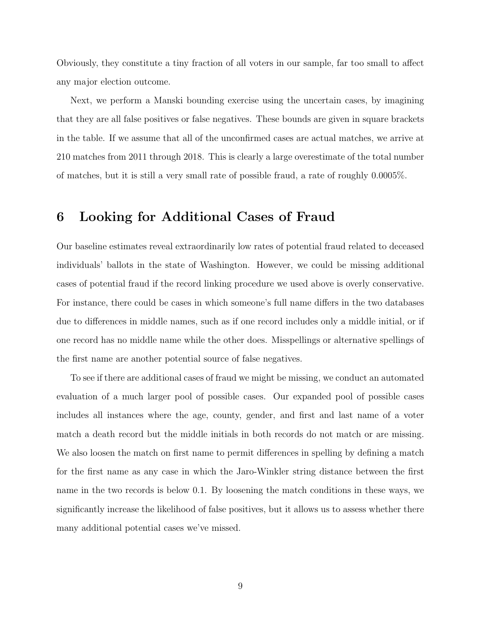Obviously, they constitute a tiny fraction of all voters in our sample, far too small to affect any major election outcome.

Next, we perform a Manski bounding exercise using the uncertain cases, by imagining that they are all false positives or false negatives. These bounds are given in square brackets in the table. If we assume that all of the unconfirmed cases are actual matches, we arrive at 210 matches from 2011 through 2018. This is clearly a large overestimate of the total number of matches, but it is still a very small rate of possible fraud, a rate of roughly 0.0005%.

#### 6 Looking for Additional Cases of Fraud

Our baseline estimates reveal extraordinarily low rates of potential fraud related to deceased individuals' ballots in the state of Washington. However, we could be missing additional cases of potential fraud if the record linking procedure we used above is overly conservative. For instance, there could be cases in which someone's full name differs in the two databases due to differences in middle names, such as if one record includes only a middle initial, or if one record has no middle name while the other does. Misspellings or alternative spellings of the first name are another potential source of false negatives.

To see if there are additional cases of fraud we might be missing, we conduct an automated evaluation of a much larger pool of possible cases. Our expanded pool of possible cases includes all instances where the age, county, gender, and first and last name of a voter match a death record but the middle initials in both records do not match or are missing. We also loosen the match on first name to permit differences in spelling by defining a match for the first name as any case in which the Jaro-Winkler string distance between the first name in the two records is below 0.1. By loosening the match conditions in these ways, we significantly increase the likelihood of false positives, but it allows us to assess whether there many additional potential cases we've missed.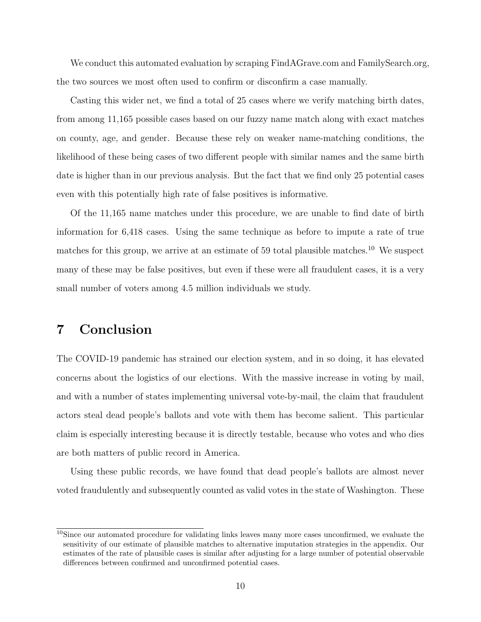We conduct this automated evaluation by scraping FindAGrave.com and FamilySearch.org, the two sources we most often used to confirm or disconfirm a case manually.

Casting this wider net, we find a total of 25 cases where we verify matching birth dates, from among 11,165 possible cases based on our fuzzy name match along with exact matches on county, age, and gender. Because these rely on weaker name-matching conditions, the likelihood of these being cases of two different people with similar names and the same birth date is higher than in our previous analysis. But the fact that we find only 25 potential cases even with this potentially high rate of false positives is informative.

Of the 11,165 name matches under this procedure, we are unable to find date of birth information for 6,418 cases. Using the same technique as before to impute a rate of true matches for this group, we arrive at an estimate of 59 total plausible matches.<sup>[10](#page-10-0)</sup> We suspect many of these may be false positives, but even if these were all fraudulent cases, it is a very small number of voters among 4.5 million individuals we study.

### 7 Conclusion

The COVID-19 pandemic has strained our election system, and in so doing, it has elevated concerns about the logistics of our elections. With the massive increase in voting by mail, and with a number of states implementing universal vote-by-mail, the claim that fraudulent actors steal dead people's ballots and vote with them has become salient. This particular claim is especially interesting because it is directly testable, because who votes and who dies are both matters of public record in America.

Using these public records, we have found that dead people's ballots are almost never voted fraudulently and subsequently counted as valid votes in the state of Washington. These

<span id="page-10-0"></span><sup>10</sup>Since our automated procedure for validating links leaves many more cases unconfirmed, we evaluate the sensitivity of our estimate of plausible matches to alternative imputation strategies in the appendix. Our estimates of the rate of plausible cases is similar after adjusting for a large number of potential observable differences between confirmed and unconfirmed potential cases.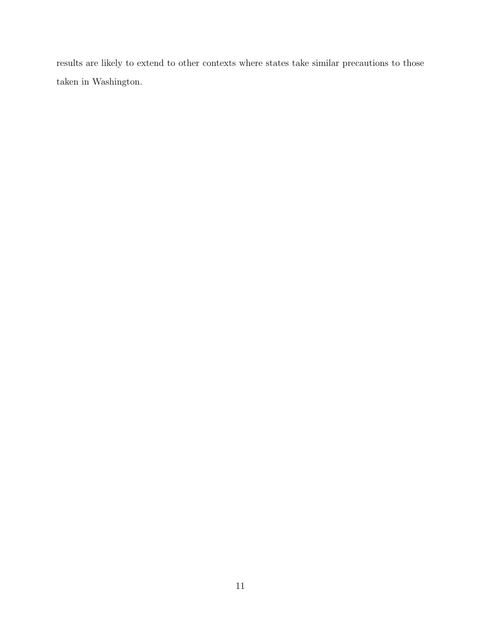results are likely to extend to other contexts where states take similar precautions to those taken in Washington.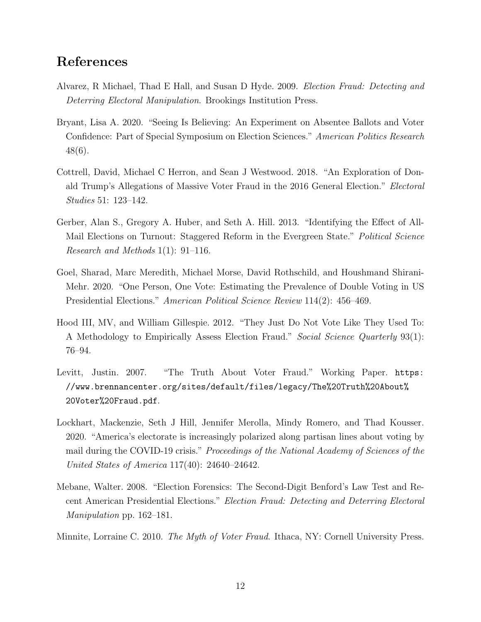#### References

- <span id="page-12-6"></span>Alvarez, R Michael, Thad E Hall, and Susan D Hyde. 2009. Election Fraud: Detecting and Deterring Electoral Manipulation. Brookings Institution Press.
- <span id="page-12-1"></span>Bryant, Lisa A. 2020. "Seeing Is Believing: An Experiment on Absentee Ballots and Voter Confidence: Part of Special Symposium on Election Sciences." American Politics Research 48(6).
- <span id="page-12-8"></span>Cottrell, David, Michael C Herron, and Sean J Westwood. 2018. "An Exploration of Donald Trump's Allegations of Massive Voter Fraud in the 2016 General Election." Electoral Studies 51: 123–142.
- <span id="page-12-2"></span>Gerber, Alan S., Gregory A. Huber, and Seth A. Hill. 2013. "Identifying the Effect of All-Mail Elections on Turnout: Staggered Reform in the Evergreen State." *Political Science* Research and Methods 1(1): 91–116.
- <span id="page-12-4"></span>Goel, Sharad, Marc Meredith, Michael Morse, David Rothschild, and Houshmand Shirani-Mehr. 2020. "One Person, One Vote: Estimating the Prevalence of Double Voting in US Presidential Elections." American Political Science Review 114(2): 456–469.
- <span id="page-12-3"></span>Hood III, MV, and William Gillespie. 2012. "They Just Do Not Vote Like They Used To: A Methodology to Empirically Assess Election Fraud." Social Science Quarterly 93(1): 76–94.
- <span id="page-12-7"></span>Levitt, Justin. 2007. "The Truth About Voter Fraud." Working Paper. [https:](https://www.brennancenter.org/sites/default/files/legacy/The%20Truth%20About%20Voter%20Fraud.pdf) [//www.brennancenter.org/sites/default/files/legacy/The%20Truth%20About%](https://www.brennancenter.org/sites/default/files/legacy/The%20Truth%20About%20Voter%20Fraud.pdf) [20Voter%20Fraud.pdf](https://www.brennancenter.org/sites/default/files/legacy/The%20Truth%20About%20Voter%20Fraud.pdf).
- <span id="page-12-0"></span>Lockhart, Mackenzie, Seth J Hill, Jennifer Merolla, Mindy Romero, and Thad Kousser. 2020. "America's electorate is increasingly polarized along partisan lines about voting by mail during the COVID-19 crisis." Proceedings of the National Academy of Sciences of the United States of America 117(40): 24640–24642.
- <span id="page-12-9"></span>Mebane, Walter. 2008. "Election Forensics: The Second-Digit Benford's Law Test and Recent American Presidential Elections." Election Fraud: Detecting and Deterring Electoral Manipulation pp. 162–181.
- <span id="page-12-5"></span>Minnite, Lorraine C. 2010. The Myth of Voter Fraud. Ithaca, NY: Cornell University Press.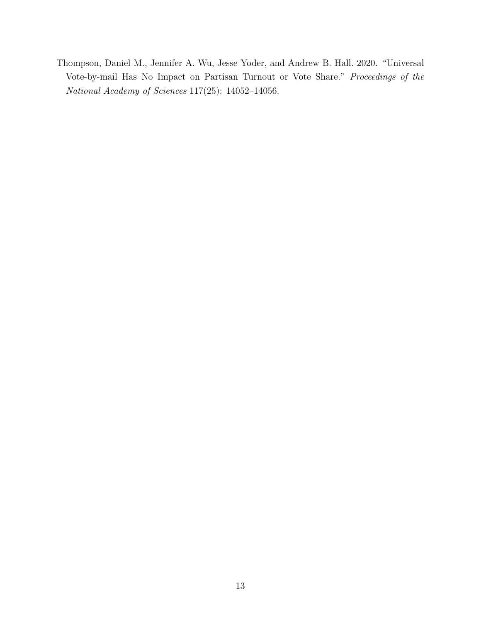<span id="page-13-0"></span>Thompson, Daniel M., Jennifer A. Wu, Jesse Yoder, and Andrew B. Hall. 2020. "Universal Vote-by-mail Has No Impact on Partisan Turnout or Vote Share." Proceedings of the National Academy of Sciences 117(25): 14052–14056.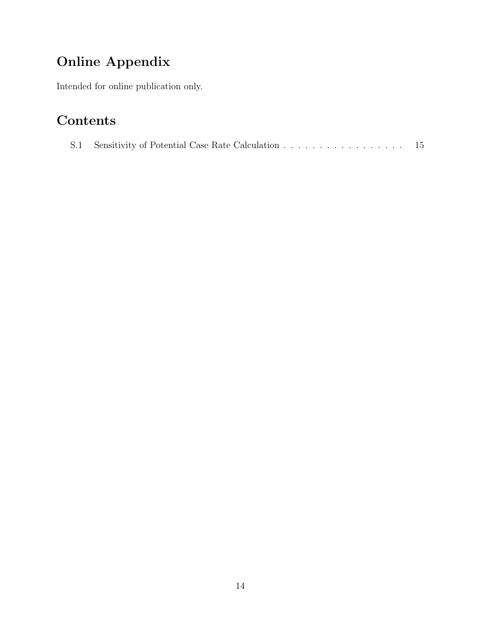# Online Appendix

Intended for online publication only.

## Contents

|  |  |  | -15 |
|--|--|--|-----|
|--|--|--|-----|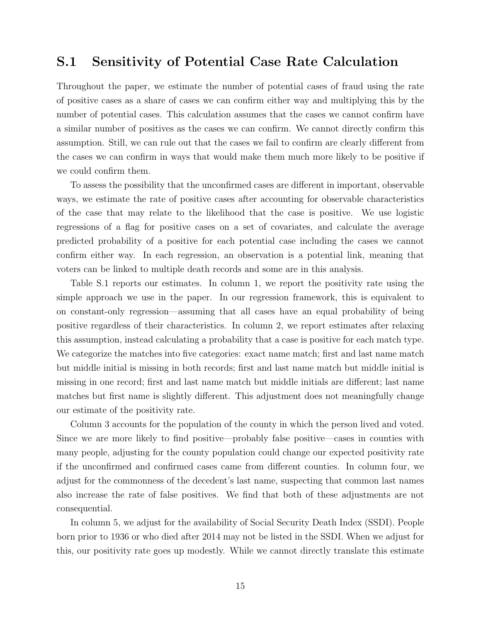#### S.1 Sensitivity of Potential Case Rate Calculation

Throughout the paper, we estimate the number of potential cases of fraud using the rate of positive cases as a share of cases we can confirm either way and multiplying this by the number of potential cases. This calculation assumes that the cases we cannot confirm have a similar number of positives as the cases we can confirm. We cannot directly confirm this assumption. Still, we can rule out that the cases we fail to confirm are clearly different from the cases we can confirm in ways that would make them much more likely to be positive if we could confirm them.

To assess the possibility that the unconfirmed cases are different in important, observable ways, we estimate the rate of positive cases after accounting for observable characteristics of the case that may relate to the likelihood that the case is positive. We use logistic regressions of a flag for positive cases on a set of covariates, and calculate the average predicted probability of a positive for each potential case including the cases we cannot confirm either way. In each regression, an observation is a potential link, meaning that voters can be linked to multiple death records and some are in this analysis.

Table [S.1](#page-16-0) reports our estimates. In column 1, we report the positivity rate using the simple approach we use in the paper. In our regression framework, this is equivalent to on constant-only regression—assuming that all cases have an equal probability of being positive regardless of their characteristics. In column 2, we report estimates after relaxing this assumption, instead calculating a probability that a case is positive for each match type. We categorize the matches into five categories: exact name match; first and last name match but middle initial is missing in both records; first and last name match but middle initial is missing in one record; first and last name match but middle initials are different; last name matches but first name is slightly different. This adjustment does not meaningfully change our estimate of the positivity rate.

Column 3 accounts for the population of the county in which the person lived and voted. Since we are more likely to find positive—probably false positive—cases in counties with many people, adjusting for the county population could change our expected positivity rate if the unconfirmed and confirmed cases came from different counties. In column four, we adjust for the commonness of the decedent's last name, suspecting that common last names also increase the rate of false positives. We find that both of these adjustments are not consequential.

In column 5, we adjust for the availability of Social Security Death Index (SSDI). People born prior to 1936 or who died after 2014 may not be listed in the SSDI. When we adjust for this, our positivity rate goes up modestly. While we cannot directly translate this estimate